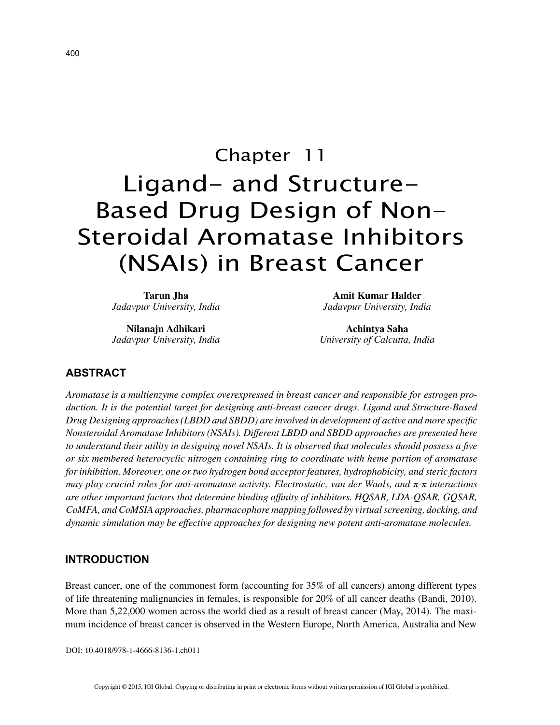# Chapter 11 Ligand- and Structure-Based Drug Design of Non-Steroidal Aromatase Inhibitors (NSAIs) in Breast Cancer

**Tarun Jha** *Jadavpur University, India*

**Nilanajn Adhikari** *Jadavpur University, India*

**Amit Kumar Halder** *Jadavpur University, India*

**Achintya Saha** *University of Calcutta, India*

## **ABSTRACT**

*Aromatase is a multienzyme complex overexpressed in breast cancer and responsible for estrogen production. It is the potential target for designing anti-breast cancer drugs. Ligand and Structure-Based Drug Designing approaches (LBDD and SBDD) are involved in development of active and more specific Nonsteroidal Aromatase Inhibitors (NSAIs). Different LBDD and SBDD approaches are presented here to understand their utility in designing novel NSAIs. It is observed that molecules should possess a five or six membered heterocyclic nitrogen containing ring to coordinate with heme portion of aromatase for inhibition. Moreover, one or two hydrogen bond acceptor features, hydrophobicity, and steric factors may play crucial roles for anti-aromatase activity. Electrostatic, van der Waals, and π-π interactions are other important factors that determine binding affinity of inhibitors. HQSAR, LDA-QSAR, GQSAR, CoMFA, and CoMSIA approaches, pharmacophore mapping followed by virtual screening, docking, and dynamic simulation may be effective approaches for designing new potent anti-aromatase molecules.*

# **INTRODUCTION**

Breast cancer, one of the commonest form (accounting for 35% of all cancers) among different types of life threatening malignancies in females, is responsible for 20% of all cancer deaths (Bandi, 2010). More than 5,22,000 women across the world died as a result of breast cancer (May, 2014). The maximum incidence of breast cancer is observed in the Western Europe, North America, Australia and New

DOI: 10.4018/978-1-4666-8136-1.ch011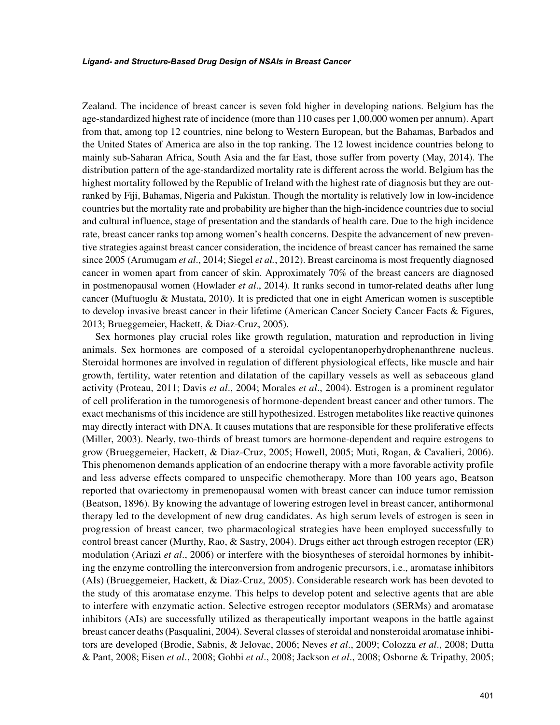Zealand. The incidence of breast cancer is seven fold higher in developing nations. Belgium has the age-standardized highest rate of incidence (more than 110 cases per 1,00,000 women per annum). Apart from that, among top 12 countries, nine belong to Western European, but the Bahamas, Barbados and the United States of America are also in the top ranking. The 12 lowest incidence countries belong to mainly sub-Saharan Africa, South Asia and the far East, those suffer from poverty (May, 2014). The distribution pattern of the age-standardized mortality rate is different across the world. Belgium has the highest mortality followed by the Republic of Ireland with the highest rate of diagnosis but they are outranked by Fiji, Bahamas, Nigeria and Pakistan. Though the mortality is relatively low in low-incidence countries but the mortality rate and probability are higher than the high-incidence countries due to social and cultural influence, stage of presentation and the standards of health care. Due to the high incidence rate, breast cancer ranks top among women's health concerns. Despite the advancement of new preventive strategies against breast cancer consideration, the incidence of breast cancer has remained the same since 2005 (Arumugam *et al*., 2014; Siegel *et al.*, 2012). Breast carcinoma is most frequently diagnosed cancer in women apart from cancer of skin. Approximately 70% of the breast cancers are diagnosed in postmenopausal women (Howlader *et al*., 2014). It ranks second in tumor-related deaths after lung cancer (Muftuoglu & Mustata, 2010). It is predicted that one in eight American women is susceptible to develop invasive breast cancer in their lifetime (American Cancer Society Cancer Facts & Figures, 2013; Brueggemeier, Hackett, & Diaz-Cruz, 2005).

Sex hormones play crucial roles like growth regulation, maturation and reproduction in living animals. Sex hormones are composed of a steroidal cyclopentanoperhydrophenanthrene nucleus. Steroidal hormones are involved in regulation of different physiological effects, like muscle and hair growth, fertility, water retention and dilatation of the capillary vessels as well as sebaceous gland activity (Proteau, 2011; Davis *et al*., 2004; Morales *et al*., 2004). Estrogen is a prominent regulator of cell proliferation in the tumorogenesis of hormone-dependent breast cancer and other tumors. The exact mechanisms of this incidence are still hypothesized. Estrogen metabolites like reactive quinones may directly interact with DNA. It causes mutations that are responsible for these proliferative effects (Miller, 2003). Nearly, two-thirds of breast tumors are hormone-dependent and require estrogens to grow (Brueggemeier, Hackett, & Diaz-Cruz, 2005; Howell, 2005; Muti, Rogan, & Cavalieri, 2006). This phenomenon demands application of an endocrine therapy with a more favorable activity profile and less adverse effects compared to unspecific chemotherapy. More than 100 years ago, Beatson reported that ovariectomy in premenopausal women with breast cancer can induce tumor remission (Beatson, 1896). By knowing the advantage of lowering estrogen level in breast cancer, antihormonal therapy led to the development of new drug candidates. As high serum levels of estrogen is seen in progression of breast cancer, two pharmacological strategies have been employed successfully to control breast cancer (Murthy, Rao, & Sastry, 2004). Drugs either act through estrogen receptor (ER) modulation (Ariazi *et al*., 2006) or interfere with the biosyntheses of steroidal hormones by inhibiting the enzyme controlling the interconversion from androgenic precursors, i.e., aromatase inhibitors (AIs) (Brueggemeier, Hackett, & Diaz-Cruz, 2005). Considerable research work has been devoted to the study of this aromatase enzyme. This helps to develop potent and selective agents that are able to interfere with enzymatic action. Selective estrogen receptor modulators (SERMs) and aromatase inhibitors (AIs) are successfully utilized as therapeutically important weapons in the battle against breast cancer deaths (Pasqualini, 2004). Several classes of steroidal and nonsteroidal aromatase inhibitors are developed (Brodie, Sabnis, & Jelovac, 2006; Neves *et al*., 2009; Colozza *et al*., 2008; Dutta & Pant, 2008; Eisen *et al*., 2008; Gobbi *et al*., 2008; Jackson *et al*., 2008; Osborne & Tripathy, 2005;